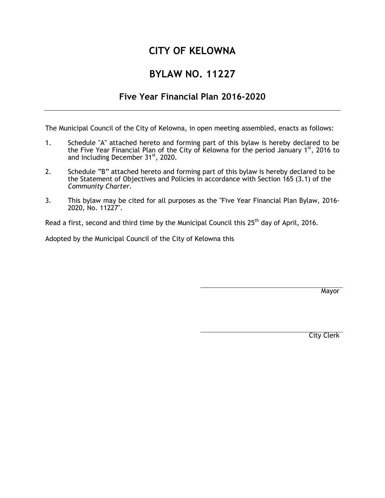# **CITY OF KELOWNA**

# **BYLAW NO. 11227**

# **Five Year Financial Plan 2016-2020**

The Municipal Council of the City of Kelowna, in open meeting assembled, enacts as follows:

- 1. Schedule "A" attached hereto and forming part of this bylaw is hereby declared to be the Five Year Financial Plan of the City of Kelowna for the period January 1st, 2016 to and including December 31<sup>st</sup>, 2020.
- 2. Schedule "B" attached hereto and forming part of this bylaw is hereby declared to be the Statement of Objectives and Policies in accordance with Section 165 (3.1) of the *Community Charter*.
- 3. This bylaw may be cited for all purposes as the "Five Year Financial Plan Bylaw, 2016- 2020, No. 11227".

Read a first, second and third time by the Municipal Council this  $25<sup>th</sup>$  day of April, 2016.

Adopted by the Municipal Council of the City of Kelowna this

**Mayor** 

City Clerk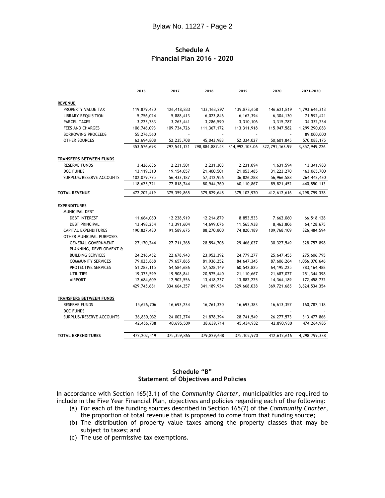# **Schedule A Financial Plan 2016 - 2020**

|                                | 2016        | 2017          | 2018          | 2019                          | 2020           | 2021-2030     |
|--------------------------------|-------------|---------------|---------------|-------------------------------|----------------|---------------|
|                                |             |               |               |                               |                |               |
| <b>REVENUE</b>                 |             |               |               |                               |                |               |
| PROPERTY VALUE TAX             | 119,879,430 | 126,418,833   | 133, 163, 297 | 139,873,658                   | 146,621,819    | 1,793,646,313 |
| <b>LIBRARY REQUISITION</b>     | 5,756,024   | 5,888,413     | 6,023,846     | 6, 162, 394                   | 6,304,130      | 71,592,421    |
| PARCEL TAXES                   | 3,223,783   | 3,263,441     | 3,286,590     | 3,310,106                     | 3,315,787      | 34, 332, 234  |
| FEES AND CHARGES               | 106,746,093 | 109,734,726   | 111, 367, 172 | 113,311,918                   | 115,947,582    | 1,299,290,083 |
| <b>BORROWING PROCEEDS</b>      | 55,276,560  |               |               |                               |                | 89,000,000    |
| OTHER SOURCES                  | 62,694,808  | 52,235,708    | 45,043,983    | 52,334,027                    | 50,601,845     | 570,088,175   |
|                                | 353,576,698 | 297,541,121   |               | 298,884,887.43 314,992,103.06 | 322,791,163.99 | 3,857,949,226 |
| TRANSFERS BETWEEN FUNDS        |             |               |               |                               |                |               |
| <b>RESERVE FUNDS</b>           | 3,426,636   | 2,231,501     | 2,231,303     | 2,231,094                     | 1,631,594      | 13,341,983    |
| DCC FUNDS                      | 13,119,310  | 19, 154, 057  | 21,400,501    | 21,053,485                    | 31,223,270     | 163,065,700   |
| SURPLUS/RESERVE ACCOUNTS       | 102,079,775 | 56,433,187    | 57,312,956    | 36,826,288                    | 56,966,588     | 264,442,430   |
|                                | 118,625,721 | 77,818,744    | 80,944,760    | 60,110,867                    | 89,821,452     | 440,850,113   |
| <b>TOTAL REVENUE</b>           | 472,202,419 | 375, 359, 865 | 379,829,648   | 375, 102, 970                 | 412,612,616    | 4,298,799,338 |
|                                |             |               |               |                               |                |               |
| <b>EXPENDITURES</b>            |             |               |               |                               |                |               |
| MUNICIPAL DEBT                 |             |               |               |                               |                |               |
| <b>DEBT INTEREST</b>           | 11,664,060  | 12,238,919    | 12,214,879    | 8,853,533                     | 7,662,060      | 66,518,128    |
| <b>DEBT PRINCIPAL</b>          | 13,498,254  | 13,391,604    | 14,699,076    | 11,565,938                    | 8,463,806      | 64,128,675    |
| <b>CAPITAL EXPENDITURES</b>    | 190,827,480 | 91,589,675    | 88,270,800    | 74,820,189                    | 109,768,109    | 826, 484, 594 |
| OTHER MUNICIPAL PURPOSES       |             |               |               |                               |                |               |
| <b>GENERAL GOVERNMENT</b>      | 27,170,244  | 27,711,268    | 28,594,708    | 29,466,037                    | 30, 327, 549   | 328,757,898   |
| PLANNING, DEVELOPMENT &        |             |               |               |                               |                |               |
| <b>BUILDING SERVICES</b>       | 24,216,452  | 22,678,943    | 23,952,392    | 24,779,277                    | 25,647,455     | 275,606,795   |
| <b>COMMUNITY SERVICES</b>      | 79,025,868  | 79,657,865    | 81,936,252    | 84,647,345                    | 87,606,264     | 1,056,070,646 |
| PROTECTIVE SERVICES            | 51,283,115  | 54,584,686    | 57,528,149    | 60,542,825                    | 64, 195, 225   | 783, 164, 488 |
| <b>UTILITIES</b>               | 19,375,599  | 19,908,841    | 20,575,440    | 21,110,667                    | 21,687,027     | 251,344,398   |
| <b>AIRPORT</b>                 | 12,684,609  | 12,902,556    | 13,418,237    | 13,882,225                    | 14, 364, 189   | 172,458,732   |
|                                | 429,745,681 | 334,664,357   | 341, 189, 934 | 329,668,038                   | 369,721,685    | 3,824,534,354 |
| <b>TRANSFERS BETWEEN FUNDS</b> |             |               |               |                               |                |               |
| <b>RESERVE FUNDS</b>           | 15,626,706  | 16,693,234    | 16,761,320    | 16,693,383                    | 16,613,357     | 160,787,118   |
| DCC FUNDS                      |             |               |               |                               |                |               |
| SURPLUS/RESERVE ACCOUNTS       | 26,830,032  | 24,002,274    | 21,878,394    | 28,741,549                    | 26, 277, 573   | 313,477,866   |
|                                | 42,456,738  | 40,695,509    | 38,639,714    | 45,434,932                    | 42,890,930     | 474,264,985   |
| <b>TOTAL EXPENDITURES</b>      | 472,202,419 | 375, 359, 865 | 379,829,648   | 375, 102, 970                 | 412,612,616    | 4,298,799,338 |

#### **Schedule "B" Statement of Objectives and Policies**

In accordance with Section 165(3.1) of the *Community Charter*, municipalities are required to include in the Five Year Financial Plan, objectives and policies regarding each of the following:

- (a) For each of the funding sources described in Section 165(7) of the *Community Charter*, the proportion of total revenue that is proposed to come from that funding source;
- (b) The distribution of property value taxes among the property classes that may be subject to taxes; and
- (c) The use of permissive tax exemptions.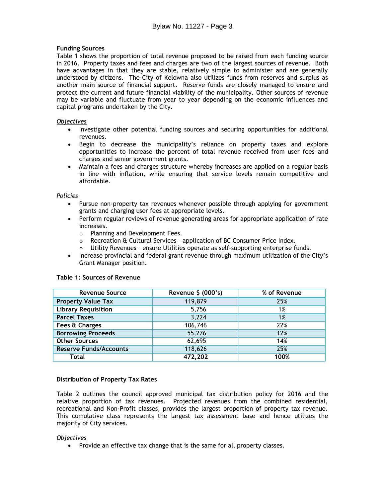# **Funding Sources**

Table 1 shows the proportion of total revenue proposed to be raised from each funding source in 2016. Property taxes and fees and charges are two of the largest sources of revenue. Both have advantages in that they are stable, relatively simple to administer and are generally understood by citizens. The City of Kelowna also utilizes funds from reserves and surplus as another main source of financial support. Reserve funds are closely managed to ensure and protect the current and future financial viability of the municipality. Other sources of revenue may be variable and fluctuate from year to year depending on the economic influences and capital programs undertaken by the City.

#### *Objectives*

- Investigate other potential funding sources and securing opportunities for additional revenues.
- Begin to decrease the municipality's reliance on property taxes and explore opportunities to increase the percent of total revenue received from user fees and charges and senior government grants.
- Maintain a fees and charges structure whereby increases are applied on a regular basis in line with inflation, while ensuring that service levels remain competitive and affordable.

## *Policies*

- Pursue non-property tax revenues whenever possible through applying for government grants and charging user fees at appropriate levels.
- Perform regular reviews of revenue generating areas for appropriate application of rate increases.
	- o Planning and Development Fees.
	- $\circ$  Recreation & Cultural Services application of BC Consumer Price Index.<br>  $\circ$  Utility Revenues ensure Utilities operate as self-supporting enterprise fi
	- Utility Revenues ensure Utilities operate as self-supporting enterprise funds.
- Increase provincial and federal grant revenue through maximum utilization of the City's Grant Manager position.

| <b>Revenue Source</b>         | Revenue \$ (000's) | % of Revenue |
|-------------------------------|--------------------|--------------|
| <b>Property Value Tax</b>     | 119,879            | 25%          |
| <b>Library Requisition</b>    | 5,756              | 1%           |
| <b>Parcel Taxes</b>           | 3,224              | 1%           |
| Fees & Charges                | 106,746            | 22%          |
| <b>Borrowing Proceeds</b>     | 55,276             | 12%          |
| <b>Other Sources</b>          | 62,695             | 14%          |
| <b>Reserve Funds/Accounts</b> | 118,626            | 25%          |
| Total                         | 472,202            | 100%         |

#### **Table 1: Sources of Revenue**

#### **Distribution of Property Tax Rates**

Table 2 outlines the council approved municipal tax distribution policy for 2016 and the relative proportion of tax revenues. Projected revenues from the combined residential, recreational and Non-Profit classes, provides the largest proportion of property tax revenue. This cumulative class represents the largest tax assessment base and hence utilizes the majority of City services.

#### *Objectives*

• Provide an effective tax change that is the same for all property classes.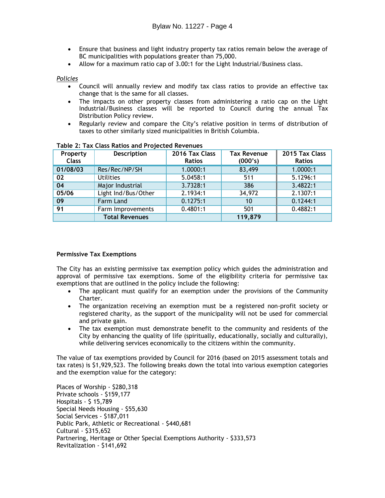- Ensure that business and light industry property tax ratios remain below the average of BC municipalities with populations greater than 75,000.
- Allow for a maximum ratio cap of 3.00:1 for the Light Industrial/Business class.

#### *Policies*

- Council will annually review and modify tax class ratios to provide an effective tax change that is the same for all classes.
- The impacts on other property classes from administering a ratio cap on the Light Industrial/Business classes will be reported to Council during the annual Tax Distribution Policy review.
- Regularly review and compare the City's relative position in terms of distribution of taxes to other similarly sized municipalities in British Columbia.

| Property<br><b>Class</b> | <b>Description</b>    | 2016 Tax Class<br><b>Ratios</b> | <b>Tax Revenue</b><br>(000's) | 2015 Tax Class<br><b>Ratios</b> |
|--------------------------|-----------------------|---------------------------------|-------------------------------|---------------------------------|
| 01/08/03                 | Res/Rec/NP/SH         | 1.0000:1                        | 83,499                        | 1.0000:1                        |
| 02                       | <b>Utilities</b>      | 5.0458:1                        | 511                           | 5.1296:1                        |
| 04                       | Major Industrial      | 3.7328:1                        | 386                           | 3.4822:1                        |
| 05/06                    | Light Ind/Bus/Other   | 2.1934:1                        | 34,972                        | 2.1307:1                        |
| 09                       | Farm Land             | 0.1275:1                        | 10                            | 0.1244:1                        |
| 91                       | Farm Improvements     | 0.4801:1                        | 501                           | 0.4882:1                        |
|                          | <b>Total Revenues</b> |                                 | 119,879                       |                                 |

## **Table 2: Tax Class Ratios and Projected Revenues**

# **Permissive Tax Exemptions**

The City has an existing permissive tax exemption policy which guides the administration and approval of permissive tax exemptions. Some of the eligibility criteria for permissive tax exemptions that are outlined in the policy include the following:

- The applicant must qualify for an exemption under the provisions of the Community Charter.
- The organization receiving an exemption must be a registered non-profit society or registered charity, as the support of the municipality will not be used for commercial and private gain.
- The tax exemption must demonstrate benefit to the community and residents of the City by enhancing the quality of life (spiritually, educationally, socially and culturally), while delivering services economically to the citizens within the community.

The value of tax exemptions provided by Council for 2016 (based on 2015 assessment totals and tax rates) is \$1,929,523. The following breaks down the total into various exemption categories and the exemption value for the category:

Places of Worship - \$280,318 Private schools - \$159,177 Hospitals - \$ 15,789 Special Needs Housing - \$55,630 Social Services - \$187,011 Public Park, Athletic or Recreational - \$440,681 Cultural - \$315,652 Partnering, Heritage or Other Special Exemptions Authority - \$333,573 Revitalization - \$141,692